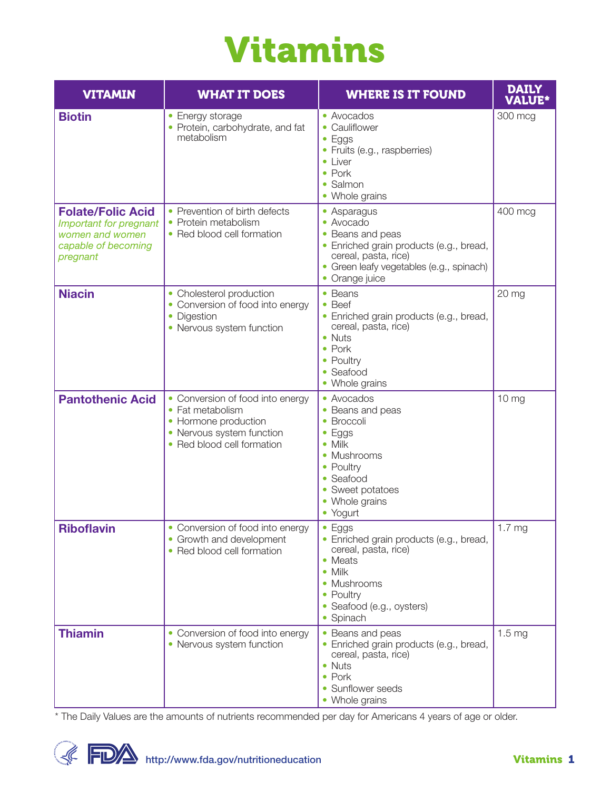# Vitamins

| <b>VITAMIN</b>                                                                                           | <b>WHAT IT DOES</b>                                                                                                                     | <b>WHERE IS IT FOUND</b>                                                                                                                                                             | <b>DAILY</b><br><b>VALUE*</b> |
|----------------------------------------------------------------------------------------------------------|-----------------------------------------------------------------------------------------------------------------------------------------|--------------------------------------------------------------------------------------------------------------------------------------------------------------------------------------|-------------------------------|
| <b>Biotin</b>                                                                                            | • Energy storage<br>• Protein, carbohydrate, and fat<br>metabolism                                                                      | • Avocados<br>• Cauliflower<br>$\bullet$ Eggs<br>• Fruits (e.g., raspberries)<br>• Liver<br>$\bullet$ Pork<br>• Salmon<br>• Whole grains                                             | 300 mcg                       |
| <b>Folate/Folic Acid</b><br>Important for pregnant<br>women and women<br>capable of becoming<br>pregnant | • Prevention of birth defects<br>• Protein metabolism<br>• Red blood cell formation                                                     | • Asparagus<br>• Avocado<br>Beans and peas<br>• Enriched grain products (e.g., bread,<br>cereal, pasta, rice)<br>• Green leafy vegetables (e.g., spinach)<br>• Orange juice          | 400 mcg                       |
| <b>Niacin</b>                                                                                            | • Cholesterol production<br>• Conversion of food into energy<br>• Digestion<br>• Nervous system function                                | • Beans<br>$\bullet$ Beef<br>• Enriched grain products (e.g., bread,<br>cereal, pasta, rice)<br>• Nuts<br>$\bullet$ Pork<br>• Poultry<br>• Seafood<br>• Whole grains                 | 20 mg                         |
| <b>Pantothenic Acid</b>                                                                                  | • Conversion of food into energy<br>• Fat metabolism<br>• Hormone production<br>• Nervous system function<br>• Red blood cell formation | • Avocados<br>• Beans and peas<br>• Broccoli<br>Eggs<br>$\bullet$<br>$\bullet$ Milk<br>• Mushrooms<br>• Poultry<br>• Seafood<br>• Sweet potatoes<br>• Whole grains<br>• Yogurt       | 10 <sub>mg</sub>              |
| <b>Riboflavin</b>                                                                                        | • Conversion of food into energy<br>• Growth and development<br>• Red blood cell formation                                              | $\bullet$ Eggs<br>• Enriched grain products (e.g., bread,<br>cereal, pasta, rice)<br>• Meats<br>$\bullet$ Milk<br>• Mushrooms<br>• Poultry<br>• Seafood (e.g., oysters)<br>• Spinach | 1.7 <sub>mg</sub>             |
| <b>Thiamin</b>                                                                                           | • Conversion of food into energy<br>• Nervous system function                                                                           | • Beans and peas<br>• Enriched grain products (e.g., bread,<br>cereal, pasta, rice)<br>• Nuts<br>$\bullet$ Pork<br>• Sunflower seeds<br>• Whole grains                               | 1.5 <sub>mg</sub>             |

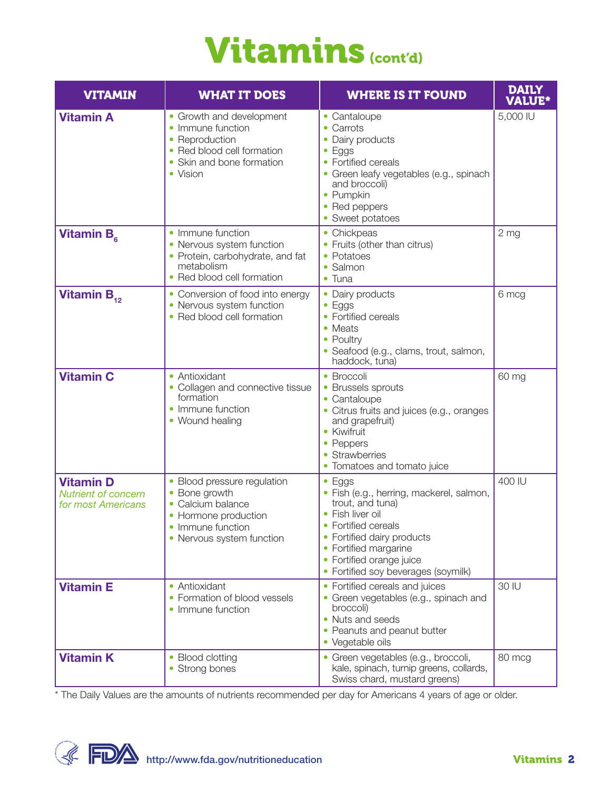### Vitamins (cont'd)

| <b>VITAMIN</b>                                                       | <b>WHAT IT DOES</b>                                                                                                                         | <b>WHERE IS IT FOUND</b>                                                                                                                                                                                                                            | <b>DAILY</b><br><b>VALUE*</b> |
|----------------------------------------------------------------------|---------------------------------------------------------------------------------------------------------------------------------------------|-----------------------------------------------------------------------------------------------------------------------------------------------------------------------------------------------------------------------------------------------------|-------------------------------|
| <b>Vitamin A</b>                                                     | • Growth and development<br>• Immune function<br>• Reproduction<br>• Red blood cell formation<br>Skin and bone formation<br>• Vision        | • Cantaloupe<br>• Carrots<br>• Dairy products<br>$\bullet$ Eggs<br>• Fortified cereals<br>• Green leafy vegetables (e.g., spinach<br>and broccoli)<br>• Pumpkin<br>• Red peppers<br>• Sweet potatoes                                                | 5,000 IU                      |
| Vitamin B <sub>e</sub>                                               | • Immune function<br>• Nervous system function<br>• Protein, carbohydrate, and fat<br>metabolism<br>• Red blood cell formation              | • Chickpeas<br>• Fruits (other than citrus)<br>• Potatoes<br>· Salmon<br>$\bullet$ Tuna                                                                                                                                                             | 2 <sub>mg</sub>               |
| Vitamin $B_{12}$                                                     | • Conversion of food into energy<br>• Nervous system function<br>• Red blood cell formation                                                 | • Dairy products<br>$\bullet$ Eggs<br>• Fortified cereals<br>• Meats<br>• Poultry<br>• Seafood (e.g., clams, trout, salmon,<br>haddock, tuna)                                                                                                       | 6 mcg                         |
| <b>Vitamin C</b>                                                     | • Antioxidant<br>• Collagen and connective tissue<br>formation<br>• Immune function<br>• Wound healing                                      | • Broccoli<br>• Brussels sprouts<br>• Cantaloupe<br>• Citrus fruits and juices (e.g., oranges<br>and grapefruit)<br>• Kiwifruit<br>• Peppers<br>• Strawberries<br>• Tomatoes and tomato juice                                                       | 60 mg                         |
| <b>Vitamin D</b><br><b>Nutrient of concern</b><br>for most Americans | • Blood pressure regulation<br>• Bone growth<br>• Calcium balance<br>• Hormone production<br>• Immune function<br>• Nervous system function | $\bullet$ Eggs<br>· Fish (e.g., herring, mackerel, salmon,<br>trout, and tuna)<br>• Fish liver oil<br>• Fortified cereals<br>• Fortified dairy products<br>• Fortified margarine<br>• Fortified orange juice<br>• Fortified soy beverages (soymilk) | 400 IU                        |
| <b>Vitamin E</b>                                                     | • Antioxidant<br>• Formation of blood vessels<br>• Immune function                                                                          | • Fortified cereals and juices<br>• Green vegetables (e.g., spinach and<br>broccoli)<br>• Nuts and seeds<br>• Peanuts and peanut butter<br>• Vegetable oils                                                                                         | 30 IU                         |
| <b>Vitamin K</b>                                                     | • Blood clotting<br>• Strong bones                                                                                                          | · Green vegetables (e.g., broccoli,<br>kale, spinach, turnip greens, collards,<br>Swiss chard, mustard greens)                                                                                                                                      | 80 mcg                        |

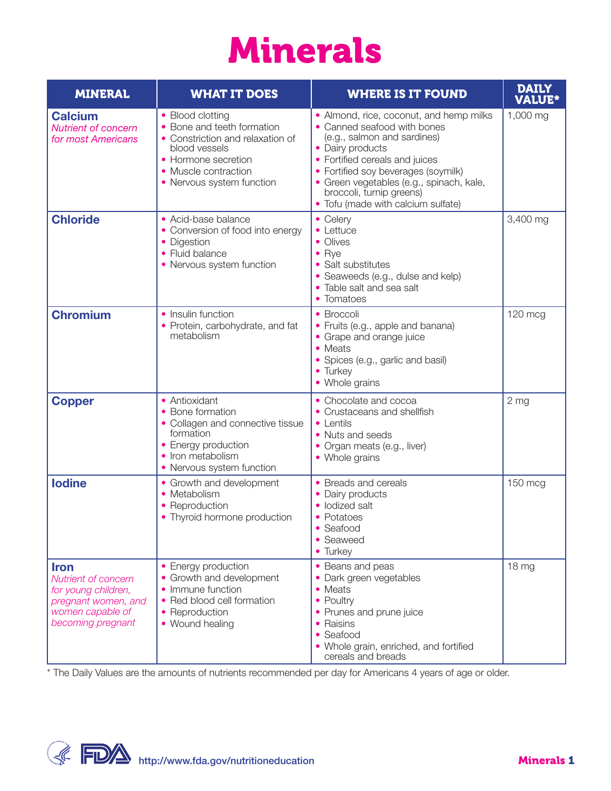# Minerals

| <b>MINERAL</b>                                                                                                            | <b>WHAT IT DOES</b>                                                                                                                                                             | <b>WHERE IS IT FOUND</b>                                                                                                                                                                                                                                                                                         | <b>DAILY</b><br><b>VALUE*</b> |
|---------------------------------------------------------------------------------------------------------------------------|---------------------------------------------------------------------------------------------------------------------------------------------------------------------------------|------------------------------------------------------------------------------------------------------------------------------------------------------------------------------------------------------------------------------------------------------------------------------------------------------------------|-------------------------------|
| <b>Calcium</b><br><b>Nutrient of concern</b><br>for most Americans                                                        | • Blood clotting<br>• Bone and teeth formation<br>• Constriction and relaxation of<br>blood vessels<br>• Hormone secretion<br>• Muscle contraction<br>• Nervous system function | • Almond, rice, coconut, and hemp milks<br>• Canned seafood with bones<br>(e.g., salmon and sardines)<br>• Dairy products<br>• Fortified cereals and juices<br>• Fortified soy beverages (soymilk)<br>· Green vegetables (e.g., spinach, kale,<br>broccoli, turnip greens)<br>• Tofu (made with calcium sulfate) | 1,000 mg                      |
| <b>Chloride</b>                                                                                                           | • Acid-base balance<br>• Conversion of food into energy<br>• Digestion<br>• Fluid balance<br>• Nervous system function                                                          | $\bullet$ Celery<br>$\bullet$ Lettuce<br>• Olives<br>$\bullet$ Rye<br>• Salt substitutes<br>· Seaweeds (e.g., dulse and kelp)<br>• Table salt and sea salt<br>• Tomatoes                                                                                                                                         | 3,400 mg                      |
| <b>Chromium</b>                                                                                                           | • Insulin function<br>• Protein, carbohydrate, and fat<br>metabolism                                                                                                            | • Broccoli<br>• Fruits (e.g., apple and banana)<br>• Grape and orange juice<br>• Meats<br>• Spices (e.g., garlic and basil)<br>• Turkey<br>• Whole grains                                                                                                                                                        | $120$ mcg                     |
| <b>Copper</b>                                                                                                             | • Antioxidant<br>• Bone formation<br>• Collagen and connective tissue<br>formation<br>• Energy production<br>• Iron metabolism<br>• Nervous system function                     | • Chocolate and cocoa<br>• Crustaceans and shellfish<br>$\bullet$ Lentils<br>• Nuts and seeds<br>· Organ meats (e.g., liver)<br>• Whole grains                                                                                                                                                                   | 2 <sub>mg</sub>               |
| <b>lodine</b>                                                                                                             | • Growth and development<br>• Metabolism<br>• Reproduction<br>• Thyroid hormone production                                                                                      | • Breads and cereals<br>• Dairy products<br>• Iodized salt<br>• Potatoes<br>Seafood<br>• Seaweed<br>• Turkey                                                                                                                                                                                                     | $150$ mcg                     |
| <b>Iron</b><br>Nutrient of concern<br>for young children,<br>pregnant women, and<br>women capable of<br>becoming pregnant | • Energy production<br>• Growth and development<br>• Immune function<br>• Red blood cell formation<br>• Reproduction<br>• Wound healing                                         | • Beans and peas<br>• Dark green vegetables<br>• Meats<br>• Poultry<br>• Prunes and prune juice<br>• Raisins<br>• Seafood<br>• Whole grain, enriched, and fortified<br>cereals and breads                                                                                                                        | 18 <sub>mg</sub>              |

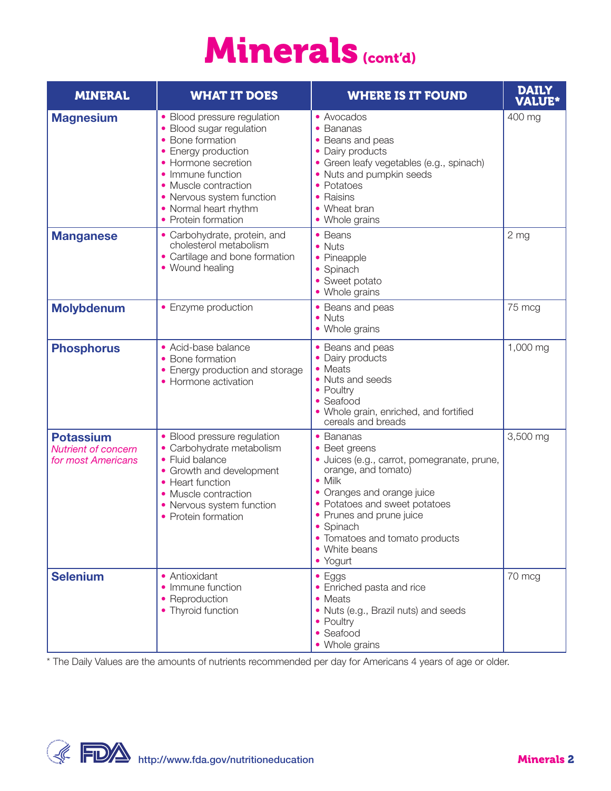### Minerals (cont'd)

| <b>MINERAL</b>                                                       | <b>WHAT IT DOES</b>                                                                                                                                                                                                                                 | <b>WHERE IS IT FOUND</b>                                                                                                                                                                                                                                                                  | <b>DAILY</b><br><b>VALUE*</b> |
|----------------------------------------------------------------------|-----------------------------------------------------------------------------------------------------------------------------------------------------------------------------------------------------------------------------------------------------|-------------------------------------------------------------------------------------------------------------------------------------------------------------------------------------------------------------------------------------------------------------------------------------------|-------------------------------|
| <b>Magnesium</b>                                                     | • Blood pressure regulation<br>• Blood sugar regulation<br>• Bone formation<br>• Energy production<br>• Hormone secretion<br>• Immune function<br>• Muscle contraction<br>• Nervous system function<br>• Normal heart rhythm<br>• Protein formation | • Avocados<br>• Bananas<br>• Beans and peas<br>• Dairy products<br>· Green leafy vegetables (e.g., spinach)<br>• Nuts and pumpkin seeds<br>• Potatoes<br>• Raisins<br>• Wheat bran<br>• Whole grains                                                                                      | 400 mg                        |
| <b>Manganese</b>                                                     | • Carbohydrate, protein, and<br>cholesterol metabolism<br>• Cartilage and bone formation<br>• Wound healing                                                                                                                                         | • Beans<br>$\bullet$ Nuts<br>• Pineapple<br>• Spinach<br>• Sweet potato<br>• Whole grains                                                                                                                                                                                                 | 2 <sub>mg</sub>               |
| <b>Molybdenum</b>                                                    | • Enzyme production                                                                                                                                                                                                                                 | • Beans and peas<br>$\bullet$ Nuts<br>• Whole grains                                                                                                                                                                                                                                      | 75 mcg                        |
| <b>Phosphorus</b>                                                    | • Acid-base balance<br>• Bone formation<br>• Energy production and storage<br>• Hormone activation                                                                                                                                                  | • Beans and peas<br>• Dairy products<br>• Meats<br>• Nuts and seeds<br>• Poultry<br>• Seafood<br>• Whole grain, enriched, and fortified<br>cereals and breads                                                                                                                             | 1,000 mg                      |
| <b>Potassium</b><br><b>Nutrient of concern</b><br>for most Americans | • Blood pressure regulation<br>• Carbohydrate metabolism<br>• Fluid balance<br>• Growth and development<br>• Heart function<br>• Muscle contraction<br>• Nervous system function<br>• Protein formation                                             | • Bananas<br>• Beet greens<br>· Juices (e.g., carrot, pomegranate, prune,<br>orange, and tomato)<br>$\bullet$ Milk<br>• Oranges and orange juice<br>• Potatoes and sweet potatoes<br>• Prunes and prune juice<br>• Spinach<br>• Tomatoes and tomato products<br>• White beans<br>• Yogurt | 3,500 mg                      |
| <b>Selenium</b>                                                      | • Antioxidant<br>• Immune function<br>• Reproduction<br>• Thyroid function                                                                                                                                                                          | $\bullet$ Eggs<br>• Enriched pasta and rice<br>• Meats<br>• Nuts (e.g., Brazil nuts) and seeds<br>• Poultry<br>• Seafood<br>• Whole grains                                                                                                                                                | 70 mcg                        |